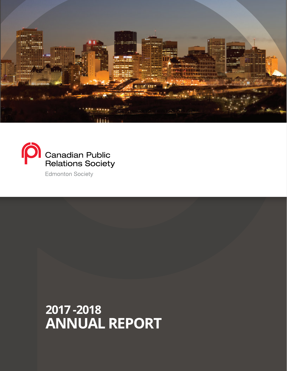



**Edmonton Society** 

**2017 -2018 ANNUAL REPORT**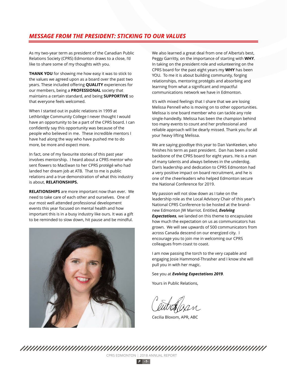# *MESSAGE FROM THE PRESIDENT: STICKING TO OUR VALUES*

As my two-year term as president of the Canadian Public Relations Society (CPRS) Edmonton draws to a close, I'd like to share some of my thoughts with you.

**THANK YOU** for showing me how easy it was to stick to the values we agreed upon as a board over the past two years. These included offering **QUALITY** experiences for our members, being a **PROFESSIONAL** society that maintains a certain standard, and being **SUPPORTIVE** so that everyone feels welcomed.

When I started out in public relations in 1999 at Lethbridge Community College I never thought I would have an opportunity to be a part of the CPRS board. I can confidently say this opportunity was because of the people who believed in me. These incredible mentors I have had along the way who have pushed me to do more, be more and expect more.

In fact, one of my favourite stories of this past year involves mentorship. I heard about a CPRS mentor who sent flowers to MacEwan to her CPRS protégé who had landed her dream job at ATB. That to me is public relations and a true demonstration of what this industry is about, **RELATIONSHIPS.**

**RELATIONSHIPS** are more important now than ever. We need to take care of each other and ourselves. One of our most well attended professional development events this year focused on mental health and how important this is in a busy industry like ours. It was a gift to be reminded to slow down, hit pause and be mindful.



We also learned a great deal from one of Alberta's best, Peggy Garritty, on the importance of starting with **WHY**. In taking on the president role and volunteering on the CPRS board for the past eight years my **WHY** has been YOU. To me it is about building community, forging relationships, mentoring protégés and absorbing and learning from what a significant and impactful communications network we have in Edmonton.

It's with mixed feelings that I share that we are losing Melissa Pennell who is moving on to other opportunities. Melissa is one board member who can tackle any role single-handedly. Melissa has been the champion behind too many events to count and her professional and reliable approach will be dearly missed. Thank you for all your heavy lifting Melissa.

We are saying goodbye this year to Dan VanKeeken, who finishes his term as past president. Dan has been a solid backbone of the CPRS board for eight years. He is a man of many talents and always believes in the underdog. Dan's leadership and dedication to CPRS Edmonton had a very positive impact on board recruitment, and he is one of the cheerleaders who helped Edmonton secure the National Conference for 2019.

My passion will not slow down as I take on the leadership role as the Local Advisory Chair of this year's National CPRS Conference to be hosted at the brandnew Edmonton JW Marriot. Entitled, *Evolving Expectations*, we landed on this theme to encapsulate how much the expectation on us as communicators has grown. We will see upwards of 500 communicators from across Canada descend on our energized city. I encourage you to join me in welcoming our CPRS colleagues from coast to coast.

I am now passing the torch to the very capable and engaging Josie Hammond-Thrasher and I know she will pull you in with her magic.

### See you at *Evolving Expectations 2019*.

Yours in Public Relations,

Cecilia Bloxom, APR, ABC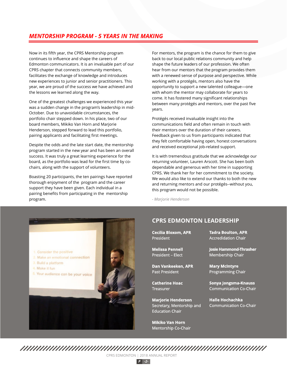# *MENTORSHIP PROGRAM - 5 YEARS IN THE MAKING*

Now in its fifth year, the CPRS Mentorship program continues to influence and shape the careers of Edmonton communicators. It is an invaluable part of our CPRS chapter that connects community members, facilitates the exchange of knowledge and introduces new experiences to junior and senior practitioners. This year, we are proud of the success we have achieved and the lessons we learned along the way.

One of the greatest challenges we experienced this year was a sudden change in the program's leadership in mid-October. Due to unavoidable circumstances, the portfolio chair stepped down. In his place, two of our board members, Mikiko Van Horn and Marjorie Henderson, stepped forward to lead this portfolio, pairing applicants and facilitating first meetings.

Despite the odds and the late start date, the mentorship program started in the new year and has been an overall success. It was truly a great learning experience for the board, as the portfolio was lead for the first time by cochairs, along with the support of volunteers.

Boasting 20 participants, the ten pairings have reported thorough enjoyment of the program and the career support they have been given. Each individual in a pairing benefits from participating in the mentorship program.

For mentors, the program is the chance for them to give back to our local public relations community and help shape the future leaders of our profession. We often hear from our mentors that the program provides them with a renewed sense of purpose and perspective. While working with a protégés, mentors also have the opportunity to support a new talented colleague—one with whom the mentor may collaborate for years to come. It has fostered many significant relationships between many protégés and mentors, over the past five years.

Protégés received invaluable insight into the communications field and often remain in touch with their mentors over the duration of their careers. Feedback given to us from participants indicated that they felt comfortable having open, honest conversations and received exceptional job-related support.

It is with tremendous gratitude that we acknowledge our returning volunteer, Lauren Arscott. She has been both dependable and generous with her time in supporting CPRS. We thank her for her commitment to the society. We would also like to extend our thanks to both the new and returning mentors and our protégés--without you, this program would not be possible.

*- Marjorie Henderson*



## **CPRS EDMONTON LEADERSHIP**

| <b>Cecilia Bloxom, APR</b> | <b>Tadra Boulton, APR</b>     |
|----------------------------|-------------------------------|
| President                  | <b>Accredidation Chair</b>    |
| <b>Melissa Pennell</b>     | <b>Josie Hammond-Thrasher</b> |
| <b>President - Elect</b>   | <b>Membership Chair</b>       |
| Dan Vankeeken, APR         | <b>Mary McIntyre</b>          |
| <b>Past President</b>      | <b>Programming Chair</b>      |
| <b>Catherine Hoac</b>      | <b>Sonya Jongsma-Knauss</b>   |
| <b>Treasurer</b>           | <b>Communication Co-Chair</b> |
| <b>Marjorie Henderson</b>  | <b>Halle Hochachka</b>        |
| Secretary, Mentorship and  | <b>Communication Co-Chair</b> |

**Mikiko Van Horn** Mentorship Co-Chair

Education Chair

CPRS EDMONTON | 2018 ANNUAL REPORT

*P -2-*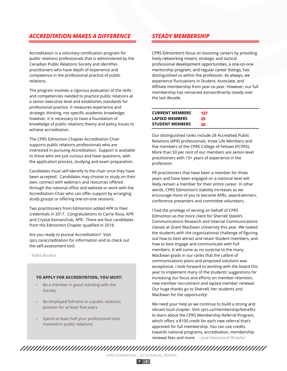# *ACCREDITATION MAKES A DIFFERENCE STEADY MEMBERSHIP*

Accreditation is a voluntary certification program for public relations professionals that is administered by the Canadian Public Relations Society and identifies practitioners who have depth of experience and competence in the professional practice of public relations.

The program involves a rigorous evaluation of the skills and competencies needed to practice public relations at a senior executive level and establishes standards for professional practice. It measures experience and strategic thinking, not specific academic knowledge; however, it is necessary to have a foundation of knowledge of public relations theory and policy issues to achieve accreditation.

The CPRS Edmonton Chapter Accreditation Chair supports public relations professionals who are interested in pursuing Accreditation. Support is available to those who are just curious and have questions, with the application process, studying and exam preparation.

Candidates must self-identify to the chair once they have been accepted. Candidates may choose to study on their own, connect with webinars and resources offered through the national office and website or work with the Accreditation Chair who can offer support by arranging study groups or offering one-on-one sessions.

Two practitioners from Edmonton added APR to their credentials in 2017. Congratulations to Carrie Rosa, APR and Crystal Komanchuk, APR. There are four candidates from the Edmonton Chapter qualified in 2018.

Are you ready to pursue Accreditation? Visit cprs.ca/accreditation for information and to check out the self-assessment tool.

*- Tadra Boulton*

### **TO APPLY FOR ACCREDITATION, YOU MUST:**

- Be a member in good standing with the **-** Society
- Be employed full-time in a public relations position for at least five years **-**
- Spend at least half your professional time involved in public relations. **-**

CPRS Edmonton's focus on boosting careers by providing lively networking mixers, strategic and tactical professional development opportunities, a one-on-one mentorship program, and regular career listings, has distinguished us within the profession. As always, we experience fluctuations in Student, Associate, and Affiliate membership from year-to-year. However, our full membership has remained extraordinarily steady over the last decade.

| <b>CURRENT MEMBERS</b> | 127 |  |
|------------------------|-----|--|
| <b>LAPSED MEMBERS</b>  | 25  |  |
| STUDENT MEMBERS        | 26  |  |

Our distinguished ranks include 28 Accredited Public Relations (APR) professionals, three Life Members and five members of the CPRS College of Fellows (FCPRS). More than 50 per cent of our members are senior-level practitioners with 10+ years of experience in the profession.

PR practitioners that have been a member for three years and have been engaged on a national level will likely remain a member for their entire career. In other words, CPRS Edmonton's stability increases as we encourage more of you to become APRs, award-winners, conference presenters and committee volunteers.

I had the privilege of serving on behalf of CPRS Edmonton as the mock client for Sherrell Steele's Communications Research and Internal Communications classes at Grant MacEwan University this year. We tasked the students with the organizational challenge of figuring out how to best attract and retain Student members, and how to best engage and communicate with Full members. It will come as no surprise to the many MacEwan grads in our ranks that the calibre of communications plans and proposed solutions was exceptional. I look forward to working with the board this year to implement many of the students' suggestions for increasing our focus and efforts on member retention, new member recruitment and lapsed member renewal. Our huge thanks go to Sherrell, her students and MacEwan for the opportunity!

We need your help as we continue to build a strong and vibrant local chapter. Visit cprs.ca/membership/benefits to learn about the CPRS Membership Referral Program, which offers a \$100 credit for each new referral that's approved for full membership. You can use credits towards national programs, accreditation, membership renewal fees and more. *- Josie Hammond-Thrasher*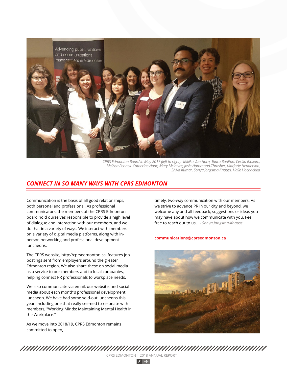

*CPRS Edmonton Board in May 2017 (left to right): Mikiko Van Horn, Tadra Boulton, Cecilia Bloxom, Melissa Pennell, Catherine Hoac, Mary McIntyre, Josie Hammond-Thrasher, Marjorie Henderson, Shiva Kumar, Sonya Jongsma-Knauss, Halle Hochachka*

## *CONNECT IN SO MANY WAYS WITH CPRS EDMONTON*

Communication is the basis of all good relationships, both personal and professional. As professional communicators, the members of the CPRS Edmonton board hold ourselves responsible to provide a high level of dialogue and interaction with our members, and we do that in a variety of ways. We interact with members on a variety of digital media platforms, along with inperson networking and professional development luncheons.

The CPRS website, http://cprsedmonton.ca, features job postings sent from employers around the greater Edmonton region. We also share these on social media as a service to our members and to local companies, helping connect PR professionals to workplace needs.

We also communicate via email, our website, and social media about each month's professional development luncheon. We have had some sold-out luncheons this year, including one that really seemed to resonate with members, "Working Minds: Maintaining Mental Health in the Workplace."

As we move into 2018/19, CPRS Edmonton remains committed to open,

timely, two-way communication with our members. As we strive to advance PR in our city and beyond, we welcome any and all feedback, suggestions or ideas you may have about how we communicate with you. Feel free to reach out to us. *- Sonya Jongsma-Knauss*

## **communications@cprsedmonton.ca**

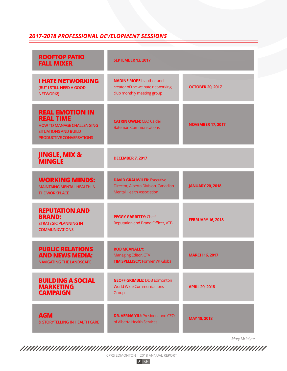# *2017-2018 PROFESSIONAL DEVELOPMENT SESSIONS*

| <b>ROOFTOP PATIO</b><br><b>FALL MIXER</b>                                                                                                        | <b>SEPTEMBER 13, 2017</b>                                                                                     |                          |
|--------------------------------------------------------------------------------------------------------------------------------------------------|---------------------------------------------------------------------------------------------------------------|--------------------------|
| <b>I HATE NETWORKING</b><br>(BUT I STILL NEED A GOOD<br><b>NETWORK!)</b>                                                                         | <b>NADINE RIOPEL: author and</b><br>creator of the we hate networking<br>club monthly meeting group           | <b>OCTOBER 20, 2017</b>  |
| <b>REAL EMOTION IN</b><br><b>REAL TIME</b><br><b>HOW TO MANAGE CHALLENGING</b><br><b>SITUATIONS AND BUILD</b><br><b>PRODUCTIVE CONVERSATIONS</b> | <b>CATRIN OWEN: CEO Calder</b><br><b>Bateman Communications</b>                                               | <b>NOVEMBER 17, 2017</b> |
| <b>JINGLE, MIX &amp; MINGLE</b>                                                                                                                  | <b>DECEMBER 7, 2017</b>                                                                                       |                          |
| <b>WORKING MINDS:</b><br><b>MAINTAING MENTAL HEALTH IN</b><br><b>THE WORKPLACE</b>                                                               | <b>DAVID GRAUWILER: Executive</b><br>Director, Alberta Division, Canadian<br><b>Mental Health Association</b> | <b>JANUARY 20, 2018</b>  |
| <b>REPUTATION AND</b><br><b>BRAND:</b><br><b>STRATEGIC PLANNING IN</b><br><b>COMMUNICATIONS</b>                                                  | <b>PEGGY GARRITTY: Cheif</b><br>Reputation and Brand Officer, ATB                                             | <b>FEBRUARY 16, 2018</b> |
| <b>PUBLIC RELATIONS</b><br><b>AND NEWS MEDIA:</b><br><b>NAVIGATING THE LANDSCAPE</b>                                                             | <b>ROB MCANALLY:</b><br>Managing Editor, CTV<br><b>TIM SPELLISCY: Former VP, Global</b>                       | <b>MARCH 16, 2017</b>    |
| <b>BUILDING A SOCIAL</b><br><b>MARKETING</b><br><b>CAMPAIGN</b>                                                                                  | <b>GEOFF GRIMBLE: DDB Edmonton</b><br><b>World Wide Communications</b><br>Group                               | <b>APRIL 20, 2018</b>    |
| <b>AGM</b><br>& STORYTELLING IN HEALTH CARE                                                                                                      | <b>DR. VERNA YIU: President and CEO</b><br>of Alberta Health Services                                         | MAY 18, 2018             |

*- Mary McIntyre*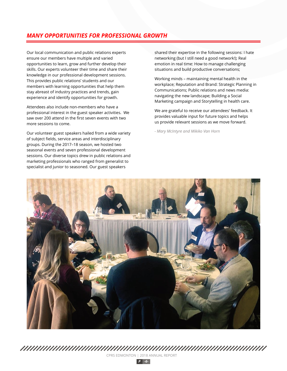# *MANY OPPORTUNITIES FOR PROFESSIONAL GROWTH*

Our local communication and public relations experts ensure our members have multiple and varied opportunities to learn, grow and further develop their skills. Our experts volunteer their time and share their knowledge in our professional development sessions. This provides public relations' students and our members with learning opportunities that help them stay abreast of industry practices and trends, gain experience and identify opportunities for growth.

Attendees also include non-members who have a professional interest in the guest speaker activities. We saw over 200 attend in the first seven events with two more sessions to come.

Our volunteer guest speakers hailed from a wide variety of subject fields, service areas and interdisciplinary groups. During the 2017–18 season, we hosted two seasonal events and seven professional development sessions. Our diverse topics drew in public relations and marketing professionals who ranged from generalist to specialist and junior to seasoned. Our guest speakers

shared their expertise in the following sessions: I hate networking (but I still need a good network!); Real emotion in real time: How to manage challenging situations and build productive conversations;

Working minds – maintaining mental health in the workplace; Reputation and Brand: Strategic Planning in Communications; Public relations and news media: navigating the new landscape; Building a Social Marketing campaign and Storytelling in health care.

We are grateful to receive our attendees' feedback. It provides valuable input for future topics and helps us provide relevant sessions as we move forward.

*- Mary McIntyre and Mikiko Van Horn*



*P -6-*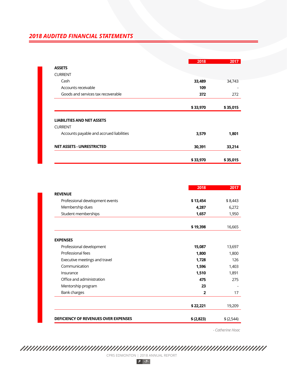# *2018 AUDITED FINANCIAL STATEMENTS*

|                                          | 2018     | 2017     |
|------------------------------------------|----------|----------|
| <b>ASSETS</b>                            |          |          |
| <b>CURRENT</b>                           |          |          |
| Cash                                     | 33,489   | 34,743   |
| Accounts receivable                      | 109      |          |
| Goods and services tax recoverable       | 372      | 272      |
|                                          | \$33,970 | \$35,015 |
| <b>LIABILITIES AND NET ASSETS</b>        |          |          |
| <b>CURRENT</b>                           |          |          |
| Accounts payable and accrued liabilities | 3,579    | 1,801    |
| <b>NET ASSETS - UNRESTRICTED</b>         | 30,391   | 33,214   |
|                                          | \$33,970 | \$35,015 |

|                                             | 2018           | 2017       |
|---------------------------------------------|----------------|------------|
| <b>REVENUE</b>                              |                |            |
| Professional development events             | \$13,454       | \$8,443    |
| Membership dues                             | 4,287          | 6,272      |
| Student memberships                         | 1,657          | 1,950      |
|                                             | \$19,398       | 16,665     |
| <b>EXPENSES</b>                             |                |            |
| Professional development                    | 15,087         | 13,697     |
| Professional fees                           | 1,800          | 1,800      |
| Executive meetings and travel               | 1,728          | 126        |
| Communication                               | 1,596          | 1,403      |
| Insurance                                   | 1,510          | 1,891      |
| Office and administration                   | 475            | 275        |
| Mentorship program                          | 23             |            |
| Bank charges                                | $\overline{2}$ | 17         |
|                                             | \$22,221       | 19,209     |
| <b>DEFICIENCY OF REVENUES OVER EXPENSES</b> | \$ (2,823)     | \$ (2,544) |

*- Catherine Hoac*